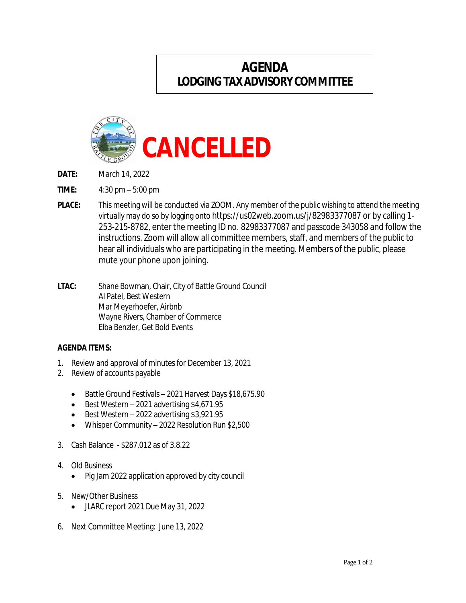## **AGENDA LODGINGTAXADVISORY COMMITTEE**



- **DATE:** March 14, 2022
- **TIME:** 4:30 pm 5:00 pm
- **PLACE:** This meeting will be conducted via ZOOM. Any member of the public wishing to attend the meeting virtually may do so by logging onto https://us02web.zoom.us/j/82983377087 or by calling 1- 253-215-8782, enter the meeting ID no. 82983377087 and passcode 343058 and follow the instructions. Zoom will allow all committee members, staff, and members of the public to hear all individuals who are participating in the meeting. Members of the public, please mute your phone upon joining.
- **LTAC:** Shane Bowman, Chair, City of Battle Ground Council Al Patel, Best Western Mar Meyerhoefer, Airbnb Wayne Rivers, Chamber of Commerce Elba Benzler, Get Bold Events

## **AGENDA ITEMS:**

- 1. Review and approval of minutesfor December 13, 2021
- 2. Review of accounts payable
	- Battle Ground Festivals 2021 Harvest Days \$18,675.90
	- Best Western 2021 advertising \$4,671.95
	- $\bullet$  Best Western 2022 advertising \$3,921.95
	- Whisper Community 2022 Resolution Run \$2,500
- 3. Cash Balance \$287,012 as of 3.8.22
- 4. Old Business
	- Pig Jam 2022 application approved by city council
- 5. New/Other Business
	- JLARC report 2021 Due May 31, 2022
- 6. Next Committee Meeting: June 13, 2022